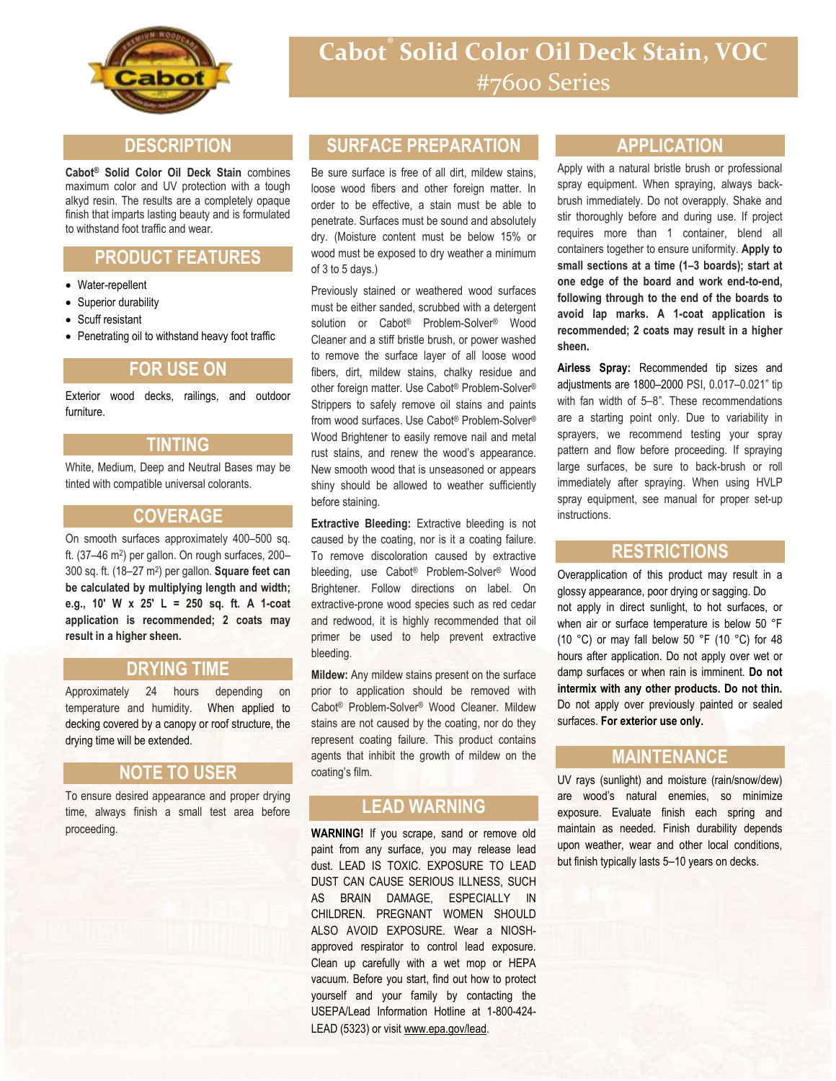

# **Cabot® Solid Color Oil Deck Stain, VOC** #7600 Series

## **DESCRIPTION**

**Cabot® Solid Color Oil Deck Stain** combines maximum color and UV protection with a tough alkyd resin. The results are a completely opaque finish that imparts lasting beauty and is formulated to withstand foot traffic and wear.

# **PRODUCT FEATURES**

- Water-repellent
- Superior durability
- Scuff resistant
- Penetrating oil to withstand heavy foot traffic

#### **FOR USE ON**

Exterior wood decks, railings, and outdoor furniture.

#### **TINTING**

White, Medium, Deep and Neutral Bases may be tinted with compatible universal colorants.

#### **COVERAGE**

On smooth surfaces approximately 400–500 sq. ft. (37–46 m<sup>2</sup>) per gallon. On rough surfaces, 200– 300 sq. ft. (18–27 m<sup>2</sup> ) per gallon. **Square feet can be calculated by multiplying length and width; e.g., 10' W x 25' L = 250 sq. ft. A 1-coat application is recommended; 2 coats may result in a higher sheen.**

#### **DRYING TIME**

Approximately 24 hours depending on temperature and humidity. When applied to decking covered by a canopy or roof structure, the drying time will be extended.

#### **NOTE TO USER**

To ensure desired appearance and proper drying time, always finish a small test area before proceeding.

## **SURFACE PREPARATION**

Be sure surface is free of all dirt, mildew stains, loose wood fibers and other foreign matter. In order to be effective, a stain must be able to penetrate. Surfaces must be sound and absolutely dry. (Moisture content must be below 15% or wood must be exposed to dry weather a minimum of 3 to 5 days.)

Previously stained or weathered wood surfaces must be either sanded, scrubbed with a detergent solution or Cabot® Problem-Solver® Wood Cleaner and a stiff bristle brush, or power washed to remove the surface layer of all loose wood fibers, dirt, mildew stains, chalky residue and other foreign matter. Use Cabot® Problem-Solver® Strippers to safely remove oil stains and paints from wood surfaces. Use Cabot® Problem-Solver® Wood Brightener to easily remove nail and metal rust stains, and renew the wood's appearance. New smooth wood that is unseasoned or appears shiny should be allowed to weather sufficiently before staining.

**Extractive Bleeding:** Extractive bleeding is not caused by the coating, nor is it a coating failure. To remove discoloration caused by extractive bleeding, use Cabot® Problem-Solver® Wood Brightener. Follow directions on label. On extractive-prone wood species such as red cedar and redwood, it is highly recommended that oil primer be used to help prevent extractive bleeding.

**Mildew:** Any mildew stains present on the surface prior to application should be removed with Cabot® Problem-Solver® Wood Cleaner. Mildew stains are not caused by the coating, nor do they represent coating failure. This product contains agents that inhibit the growth of mildew on the coating's film.

# **LEAD WARNING**

**EXAMPLE AD** (5323) or visit www.epa.gov/lead. **WARNING!** If you scrape, sand or remove old paint from any surface, you may release lead dust. LEAD IS TOXIC. EXPOSURE TO LEAD DUST CAN CAUSE SERIOUS ILLNESS, SUCH AS BRAIN DAMAGE, ESPECIALLY IN CHILDREN. PREGNANT WOMEN SHOULD ALSO AVOID EXPOSURE. Wear a NIOSHapproved respirator to control lead exposure. Clean up carefully with a wet mop or HEPA vacuum. Before you start, find out how to protect yourself and your family by contacting the USEPA/Lead Information Hotline at 1-800-424-

**FOR A PARTICULAR USE OR FREEDOM FROM PATENT INFRINGEMENT. VALSPAR WILL NOT BE LIABLE FOR ANY SPECIAL, INCIDENTAL OR CONSEQUENTIAL DAMAGES.** Your only remedy for any defect in this product is the

#### **APPLICATION**

Apply with a natural bristle brush or professional spray equipment. When spraying, always backbrush immediately. Do not overapply. Shake and stir thoroughly before and during use. If project requires more than 1 container, blend all containers together to ensure uniformity. **Apply to small sections at a time (1–3 boards); start at one edge of the board and work end-to-end, following through to the end of the boards to avoid lap marks. A 1-coat application is recommended; 2 coats may result in a higher sheen.**

**Airless Spray:** Recommended tip sizes and adjustments are 1800–2000 PSI, 0.017–0.021" tip with fan width of 5–8". These recommendations are a starting point only. Due to variability in sprayers, we recommend testing your spray pattern and flow before proceeding. If spraying large surfaces, be sure to back-brush or roll immediately after spraying. When using HVLP spray equipment, see manual for proper set-up instructions.

## **RESTRICTIONS**

Overapplication of this product may result in a glossy appearance, poor drying or sagging. Do not apply in direct sunlight, to hot surfaces, or when air or surface temperature is below 50 °F (10 °C) or may fall below 50 °F (10 °C) for 48 hours after application. Do not apply over wet or damp surfaces or when rain is imminent. **Do not intermix with any other products. Do not thin.** Do not apply over previously painted or sealed surfaces. **For exterior use only.**

## **MAINTENANCE**

UV rays (sunlight) and moisture (rain/snow/dew) are wood's natural enemies, so minimize exposure. Evaluate finish each spring and maintain as needed. Finish durability depends upon weather, wear and other local conditions, but finish typically lasts 5–10 years on decks.